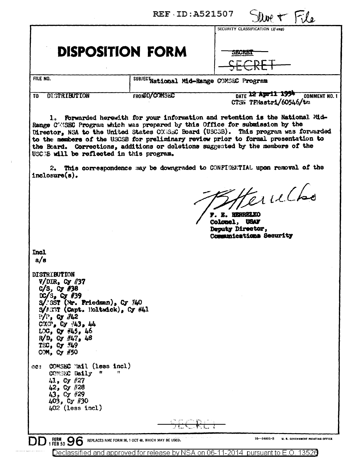Due  $\tau$  File

## **DISPOSITION FORM**

| $\sim$ SECURITY CLASSIFICATION $(If any)$ |  |
|-------------------------------------------|--|
|                                           |  |

SECRET

FILE NO.

SUBJECTNational Mid-Range COMSEC Program

#### TO DISTRIBUTION

**FRONDD/COMSEC** 

DATE 12 Apr 11 1954 COMMENT NO. 1 CTSN TFMastri/60546/tm

1. Forwarded herewith for your information and retention is the National Mid-Range COMSEC Program which was prepared by this Office for submission by the Director. NSA to the United States CONSEC Board (USCSB). This program was forwarded to the members of the USCSB for preliminary review prior to formal presentation to the Board. Corrections, additions or deletions suggested by the members of the USCOB will be reflected in this program.

2. This correspondence may be downgraded to CONFIDENTIAL upon removal of the  $inclosure(s)$ .

Herulho

. E. HERRELKO Colonel. USAF Deputy Director, Communications Security

Incl  $a/s$ 

DISTRIBUTION  $V/DIR$ , Cy //37  $C/S$ ,  $C_Y$  #38 DC/S, Cy #39<br>S/:SST (Nr. Friedman), Cy #40  $S/FST$  (Capt. Eoltwick), Cy #41  $P/P$ , Cy  $/42$  $\text{conv}_{\bullet}$  Cy  $43_{\bullet}$  44 LOG, Cy #45, 46  $R/D$ , Gy  $H17$ , 48 TEC,  $cy$   $/49$ СОМ, Су #50 ec: COMSEC Mail (less incl) COMSEC Daily "  $41.$  Cy  $#27$ 42, Cy #28  $43,$  Cy #29<br> $403,$  Cy #30 402 (less incl)  $16 - 54801 - 3$ **FORM 96 U. S. GOVERNMENT PRINTING OFFICE** REPLACES NME FORM 96, 1 OCT 48, WHICH MAY BE USED.

Declassified and approved for release by NSA on 06-11-2014 pursuant to E.O. 13526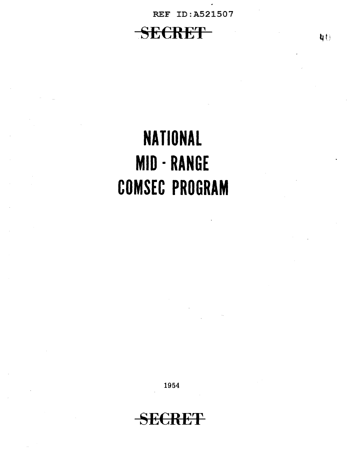.

## **SECRET**

# **NATIONAL MID· RANGE COMSEC PROGRAM**

1954

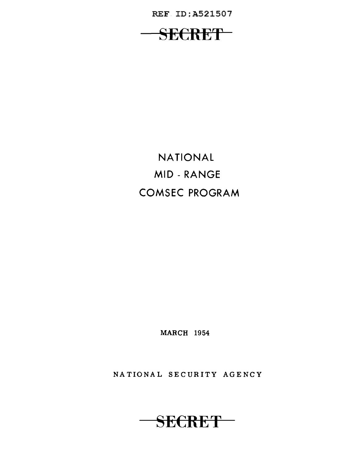REF ID;A521507

SECRET-

NATIONAL MID - RANGE COMSEC PROGRAM

MARCH 1954

NATIONAL SECURITY AGENCY

SECRET-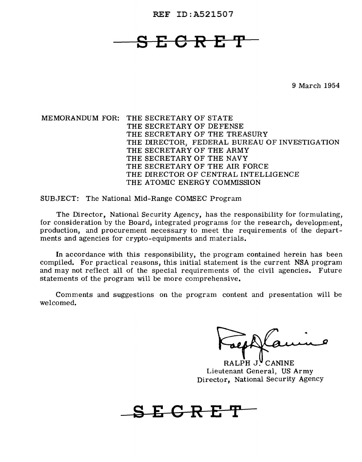## **SECRET**

9 March 1954

MEMORANDUM FOR: THE SECRETARY OF STATE THE SECRETARY OF DEFENSE THE SECRETARY OF THE TREASURY THE DIRECTOR, FEDERAL BUREAU OF INVESTIGATION THE SECRETARY OF THE ARMY THE SECRETARY OF THE NAVY THE SECRETARY OF THE AIR FORCE THE DIRECTOR OF CENTRAL INTELLIGENCE THE ATOMIC ENERGY COMMISSION

SUBJECT: The National Mid-Range COMSEC Program

The Director, National Security Agency, has the responsibility for formulating, for consideration by the Board, integrated programs for the research, development, production, and procurement necessary to meet the requirements of the departments and agencies for crypto-equipments and materials.

In accordance with this responsibility, the program contained herein has been compiled. For practical reasons, this initial statement is the current NSA program and may not reflect all of the special requirements of the civil agencies. Future statements of the program will be more comprehensive.

Comments and suggestions on the program content and presentation will be welcomed.

RALPH J. CANINE Lieutenant General, US Army Director, National Security Agency

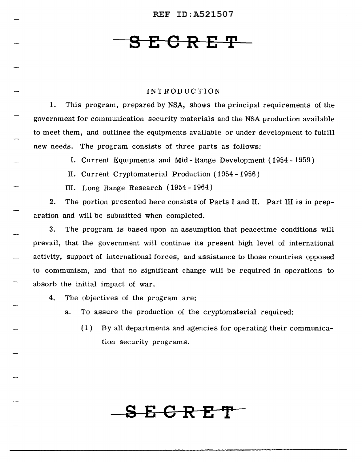## **S E 6 R E 'I'**

#### INTRODUCTION

1. This program, prepared by NSA, shows the principal requirements of the government for communication security materials and the NSA production available to meet them, and outlines the equipments available or under development to fulfill new needs. The program consists of three parts as follows:

I. Current Equipments and Mid- Range Development ( 1954 - 1959)

II. Current Cryptomaterial Production ( 1954 - 1956)

III. Long Range Research ( 1954 - 1964)

2. The portion presented here consists of Parts I and II. Part III is in preparation and will be submitted when completed.

3. The program is based upon an assumption that peacetime conditions will prevail, that the government will continue its present high level of international activity, support of international forces, and assistance to those countries opposed to communism, and that no significant change will be required in operations to absorb the initial impact of war.

4. The objectives of the program are:

a. To assure the production of the cryptomaterial required:

 $(1)$  By all departments and agencies for operating their communication security programs.

**SEORET**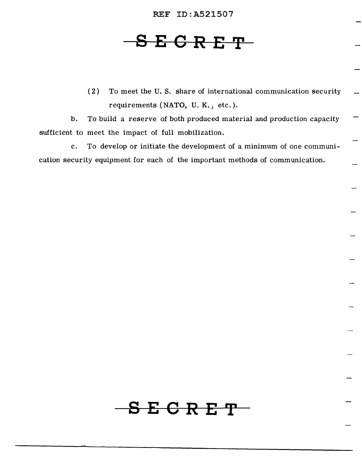## **8 E C R E 'I'**

( 2) To meet the U. S. share of international communication security requirements (NATO, U. K., etc.).

b. To build a reserve of both produced material and production capacity sufficient to meet the impact of full mobilization.

c. To develop or initiate the development of a minimum of one communication security equipment for each of the important methods of communication.

**SECRET**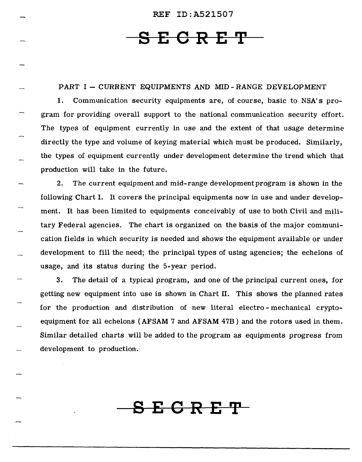## **SESRET**

### PART I - CURRENT EQUIPMENTS AND MID-RANGE DEVELOPMENT

1. Communication security equipments are, of course, basic to NSA's program for providing overall support to the national communication security effort. The types of equipment currently in use and the extent of that usage determine directly the type and volume of keying material which must be produced. Similarly, the types of equipment currently under development determine the trend which that production will take in the future.

2. The current equipment and mid-range development program is shown in the following Chart I. It covers the principal equipments now in use and under development. It has been limited to equipments conceivably of use to both Civil and military Federal agencies. The chart is organized on the basis of the major communication fields in which security is needed and shows the equipment available or under development to fill the need; the principal types of using agencies; the echelons of usage, and its status during the 5-year period.

3. The detail of a typical program, and one of the principal current ones, for getting new equipment into use is shown in Chart II. This shows the planned rates for the production and distribution of new literal electro - mechanical cryptoequipment for all echelons (AFSAM 7 and AFSAM 47B) and the rotors used in them. Similar detailed charts will be added to the program as equipments progress from development to production.

**SEGRE'P**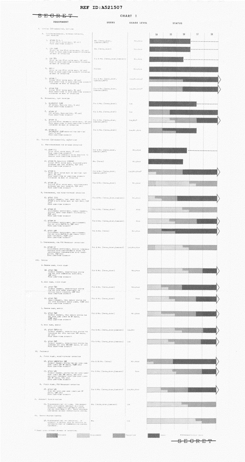### <del>SECRET</del>

### CHART<sub>1</sub>

#### USERS USAGE LEVEL **STATUS**

 $-56$ 

 $\mathbb{Z}^{\mathbb{Z}}$ 

 $\mathbb{Z}$ 

**SSSS** 

 $5\%$ 

 $\sim$  57  $^{\circ}$ 

 $\sim$  58

### $\left\langle V_{\mathcal{R}}\right\rangle =\left\langle V_{\mathcal{R}}\right\rangle _{1}+\left\langle V_{\mathcal{R}}\right\rangle _{2}+\left\langle V_{\mathcal{R}}\right\rangle _{3}+\left\langle V_{\mathcal{R}}\right\rangle _{4}+\left\langle V_{\mathcal{R}}\right\rangle _{5}+\left\langle V_{\mathcal{R}}\right\rangle _{6}+\left\langle V_{\mathcal{R}}\right\rangle _{6}+\left\langle V_{\mathcal{R}}\right\rangle _{6}+\left\langle V_{\mathcal{R}}\right\rangle _{6}+\left\langle V_{\mathcal{R}}\right\rangle _{6}+\left\$

EQUIPMENT

| А. Сеготво-мгсилитско, которакт-провлаток,<br>TAPE PRINTING                                                                                                                                    |                                                                |                                              | 54                        |
|------------------------------------------------------------------------------------------------------------------------------------------------------------------------------------------------|----------------------------------------------------------------|----------------------------------------------|---------------------------|
| <b>L. AFSAM PS B. C</b><br>(FIVE POTER ROTOR MAZE, 97-165)<br>FAIR LONG-TERM SECONTRY                                                                                                          | MIL (INTHA, JOINT,<br>CONSINED, NATO)                          | McG. River                                   |                           |
| 2. CSP 2900<br>(PIVE, OR TEN 26-PT ROTOR MAZE, 97 LES)<br>FAIR TO HIGH LONG-TERM BECORITY BEPENDING<br>ON MODE OF OPERATION.                                                                   | MIL (Intervietni)                                              | <b>Meas Hinn</b>                             |                           |
| s, car 889<br>(гам. ок. тем. 26-ит. ноток млте, 97-185)<br>Елти то нтой коно-тени весонтту окиенотно<br>ON WODE OF OPENATION                                                                   | Front Mic (initial doing Committee)                            | "魏绍",韩国为蒋                                    |                           |
| A. MEC-L<br>(FIVE ON YOU 26-ET ROYOR NAZE, 97 188).<br>FAIR TO HIGH LORG-YEAR SECURITY OFFICING ING<br>ON MODE OF OPERATION.                                                                   | Fratnat.                                                       | 強(の)経路術                                      |                           |
| SU ARSAM 7<br>(tisur 36-er norde marr, 20 ins).<br>Итан кнонт-телы то нами коно-тели эссилатт<br><b>SERENDING ON NODE OF OPERATION</b>                                                         | Ука & Мус (Пятек, Јозит,<br>COMBINED, NATO)                    | Low Menthural*                               | sana sa m                 |
| 6, APSAN 470<br>  (cront 36-er boron maze, 45 (68)<br> - Aren ghanz-renn to high cons-renn gecunity<br>DEPENDING ON MODE OF OPERATION.                                                         | FED & MIL (INTER, JOINT,<br>Come (web, NATO).                  | Loughts, Hinny                               |                           |
| B. MCCHANICAL, TAPE PRINTING                                                                                                                                                                   |                                                                |                                              |                           |
| 7. M-209/CSP 1500<br>(G ROYGNS, HAGELIN TYPE, 9 LBS)<br>FATR SHORT-TERN SCCURTTY                                                                                                               | Fro & Mit (INTRA, Joint)                                       | Lost.                                        |                           |
| $8 -$ AFSAM $36$<br>(12 BOTORD, HADRESM-TYPE, 18 (NS)<br>Глан зновтотски засемету                                                                                                              | FED & MIL (INTRA, NOTHE)                                       | 3,69                                         |                           |
| $9 - MSAM + 7$<br>(KLKVEN 26-01 paramatic noton maze, id Lou)<br>Ніки зновт-тени то ніки хонк-тени зеспятту<br>SEPENDING ON NODE OF OPERATION                                                  | Fro & Mil (Inter, Joint,<br>COMMINIO NATOJ                     | Lou Mep*                                     |                           |
| 10. AFSAM 21<br>(M-209/CSP 1500 noviries for one-rine<br>TAPE, 9 LBS)<br>High Long-Team Security                                                                                               | FED & MIL (INTER, JOYNY)                                       | Low Mc Hitch                                 |                           |
| И. Техничи (З2-снаваетки), он/оги-тине                                                                                                                                                         |                                                                |                                              |                           |
| A. Hon-Synchronous For Herwork operation                                                                                                                                                       |                                                                |                                              |                           |
| 14. 高級機 受守<br>(FIVE 20-PT ROTOR WARE, 74 (86)<br>FAIR LONG-TERM SECURITY<br>(ASAM-2-1 is connently being movinica for<br>PROVIDE RIGH LONG-TERM SECONITY)                                      | Fra & Mit (Inter, Joint,<br>COMBINES HATO).                    | McD. HIGH                                    |                           |
| 12. AFSAN NA (MODIFIED SIGNIN)<br>(CIGNI 26-PT ROTOR MARE, STLF-CONTAINED.<br>RETHOARD AND TAPE PRINTER, 252 1883<br>HIGH CONG-TERM SECURITY                                                   | MIL (INTRA)                                                    | Messalistan                                  |                           |
| 13. AFSAM 9<br>- (NINE 36-PY ROTOR MAZE ON ONE-TIME YAPE)<br>- UNIT, 46 LBS)<br>HIGH SHORT-TERM ON LONG-TERM SECORTY<br>DEPENDING ON MODE OF OPENATION                                         | Fra & Mir (Infan, Juint,<br>COMMINIS, NATO)                    | 无效航空阴电放荡阴波放线网                                | omments.<br>a ang pangang |
| 14. AFSAN AØ<br>(станей 36-ет нотой нахо, петг-сонтатися<br>кстволно лио расс гатител, 250 год.<br>Изон сово-тены всемитет.                                                                    | 书电机 医小棘皮的 复复独全麻木合适合手续装置                                        | Mas Hase                                     |                           |
| B. SYNCHRONOUS, FOR POINT-TO-POINT OPENATION.                                                                                                                                                  |                                                                |                                              |                           |
| 15. AFSAZ 7315<br>(пінокі снанист, тарк знент пису, прек<br>AFSAM 9 with hotes mare on tape unit, 210<br>注释念事<br>HIGH LONG-YEAM STOURITY                                                       | (F.K.D.) 图 [ M.H.E. - 【 S.G.T.H.A. _ JAD FB Y _ C.G.WA FARED 】 | M. S. HER                                    |                           |
| 16, AFSAM 26<br>(CLECTRONIC CRYPTO-UNIT, SINGLE CHANNEL,<br>ACCEPTS INPUT FROM REMOTE TELEPRINTER,<br>250 1027<br>HIGH LONG-TERM SECONDITY                                                     | FED & MIL (INTER, JOINT)                                       | <b>NHSK</b>                                  |                           |
| 17. AFSAM 22<br>(ссествовів свукта-авіт, насті-силянсь.<br>Гав нас міти АН/ГСС-5, 500 свят<br>NIGH LONG-TERM SCCURATY                                                                          | Fro. & Mil (Juing, Joint, Compiner)                            | 特拉林                                          |                           |
| 18. AFSAX 500<br><b>ICLECTRONIC CRYPTO-UNIT, MULTI-CHANNEL</b><br>FOR USE WITH AN/FOC-5 AND SINGLE SIDE-<br>BANG COUTPHENT, 2500 LBS)<br>Ніан існа-теян зеспитту                               | Fro & Mil (1818)                                               | Medighism                                    |                           |
| U. SYNCHRONOUS, FOR FOX BROADCAST OPERATIONS                                                                                                                                                   |                                                                |                                              |                           |
| 19. AFSAM 37<br>ITLECINOMIC CRYPTO-UNIT, RECEIVE TERNINALS<br>PROVIDED WATH SEMI-AUTOMATIC MEANS FOR<br>INDUPERDENTLY SYNCHROMIZING WITH INAME-<br>WITTER, 250 thu)<br>HIGH LONG-TERM SECONSTY | Fro & Mit (lains, Joint, Commissed)                            | $\pm 0.94$ , $M \lesssim 0$ , $M \lesssim 0$ |                           |
| III. SPEEK                                                                                                                                                                                     |                                                                |                                              |                           |
| A. NARROW BARO, FIXED PLANT                                                                                                                                                                    |                                                                |                                              |                           |
| 20. AFSAY 809<br>(БІМОЕС: СНАММЕС, РОБИ-ТО-ТАСИ БУБТСИ<br>FOR USE OVER COMMERCIAL MIRELINES.<br>799 tas)<br>Итан сомо-тены всемнуту                                                            | Fro & Mr. (Turna, Josef)                                       | Mes Aisan                                    |                           |

| . S. WIGK BANG, FIXED PLANY                                                                                                                                                                                      |                                    |                   |       |                                                                              |                       |  |
|------------------------------------------------------------------------------------------------------------------------------------------------------------------------------------------------------------------|------------------------------------|-------------------|-------|------------------------------------------------------------------------------|-----------------------|--|
| 21. AFSAY 801<br>ISINGLE CHANNEL, PUSH-YO-TALK SYSTEM<br>ran auc sven snäns vincilmen, nn<br>SPICIAL RASIO CIRCUITS, 300 LBS)<br>Нари томо-тени всемнату.                                                        | FED & MIL (INTRALJOINT)            | Men.Mine          |       |                                                                              |                       |  |
| 22. AFSAY 687<br>(NULTI-CHANNEL, FULL DUPLEX STOTEM FOR<br>OSE OVER WICHOUNTE NASIO LINKS, 1755 LES)<br>HIGH LONG-TERM SECURITY.                                                                                 | FEW & MIS (INTERLAGINT)            | <b>First</b>      |       |                                                                              |                       |  |
| C. NARROW BAND, MOBILE                                                                                                                                                                                           |                                    |                   |       |                                                                              |                       |  |
| 23. AFSAY BIK<br>(SINGLE CHANNEL, FULL DUPLES SYSTEM FOR<br>USE OVER LAND LINES ON HE MADIS,<br>HIGH LONG-TERM SECURITY                                                                                          | FEN & MIL (INTEL_JOSET)            | Mc Hins           |       |                                                                              |                       |  |
| D. Wroc hamp, monter                                                                                                                                                                                             |                                    |                   |       |                                                                              |                       |  |
| 24. AFSAY BOA(X-2)<br>(SINGLE CHANNEL, PUSH-TO-TALK SYSTEM FOR<br>VEHICULAR USE OVER YACTICAL VHF RADIO,<br>I) (68)<br>Hick snokr-traw security                                                                  | Fre & Mil (Inter Joint Compined)   | Low Mco           |       |                                                                              |                       |  |
| 25. AESAY BOB<br>ISINGLE CHANNEL, PUSH-TO-TALE STSTEN FOR<br>AIRBORNE WOR GVER WW AND HADID, 52 185)<br>HIGH SHORT-TERM SECONDITY                                                                                | FED & MIL (INTRA, JOINT COMBINED)  | $\sim 60$         |       |                                                                              |                       |  |
| IV. FACSINIER                                                                                                                                                                                                    |                                    |                   |       |                                                                              |                       |  |
| A. FIXED PLANT, POINT-TO-POINT OPTRATION                                                                                                                                                                         |                                    |                   |       |                                                                              |                       |  |
| 26. AFSAX 500/AFSAJ 700<br>(SINGLE CHANNEL SYSTEM FOR USE OVER LONG.<br>WINE LINES AND HE NADIO, 2500 LUS).<br>HIGH LOMG-TERM SECURITY                                                                           | Fro. & US Mit. (Turna)             | Men Mink          |       |                                                                              |                       |  |
| 27. AFSAX 595<br>ISINGLE CHANNEL SYSTEM FOR USE OVER SHORT<br>WIRE LINES AND WHE RADIO, AND WITH<br>ANCILLANT COULPHENT OVER LONG WIRE LINES<br>AND ME RADIO, 475 AND)<br>HIGH LONG-TESM SECURITY                | Fro & Mil (Inter, Joint, Consinto) | Mrun              |       |                                                                              |                       |  |
| B. FIXED PLANT, FOX BROADCAUT GPERATION                                                                                                                                                                          |                                    |                   |       |                                                                              |                       |  |
| B. ASAX SP<br>IFOR USE OVER LONG WINE LINES AND HE<br>RADIO, 300 LBS)<br><b>HIGH LONG-TERN SECURITY</b>                                                                                                          | FED & MIL (INTRA, JOINT CONSTRUED) | Low, Mrs. Hissi   |       |                                                                              |                       |  |
| V. AIRCHAFT TOTHT IT ICATION                                                                                                                                                                                     |                                    |                   |       |                                                                              |                       |  |
| 29. ВЕСЦАМЕНЕНТЕ МОТ ТЕТ ГАКИ. РИЕГИАНИЗ<br>MODEL DEVELOPMENT QUOCRUAT ON A HIGH<br>SECURITY, COMPLETELY AUTOMATIC STSTEM<br>FOR USE WITH MARK X IFF. BARIC BESEARCH<br>CONTINUING ON NORE SOPHISTICATED SYSTEM. | MIL (INTRE, JOINT, COMBINED)       | 3.699             |       |                                                                              |                       |  |
| VI. GUIDEN WEAPONS CONTROL                                                                                                                                                                                       |                                    |                   |       |                                                                              |                       |  |
| SO HEQUIREMENTS NOT TET SPECIFIED. IF<br>SECURATY IS NEEDED, WILL BE PROVIDED AS<br>INTEGRATED PART OF COMMUNICATION CONTROL<br>COUTPHENT.                                                                       | 持計                                 | <b>L'ong</b>      |       |                                                                              |                       |  |
| * Unker Level Depenss on Mone of OpenAlion,                                                                                                                                                                      |                                    |                   |       |                                                                              |                       |  |
| RESEARCH                                                                                                                                                                                                         | <b>THATLORNENT</b>                 | <i>BODUCT TON</i> | Isace | we we are as as for Report of Consider<br><b>Concert Community Community</b> | $\cdots$ constraints: |  |

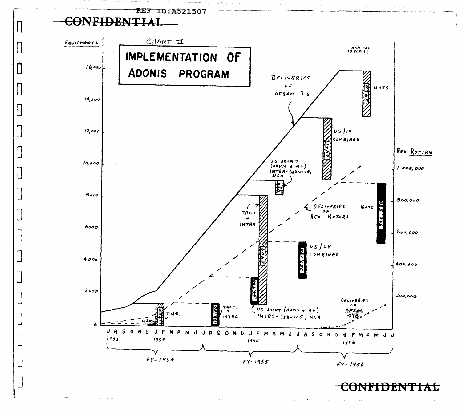

 $\prod_{i=1}^n$ 

0

Ħ

П  $\mathbf{L}$ 

 $\Box$ 

IJ

ڵ

 $\exists$ 

 $\overline{\mathbb{Z}}$ 

r**iden**a **TAL**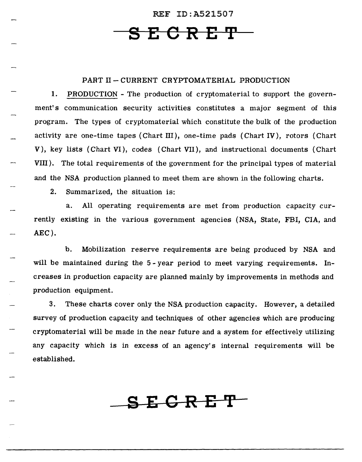**SECRET** 

### PART II - CURRENT CRYPTOMATERIAL PRODUCTION

1. PRODUCTION - The production of cryptomaterial to support the government's communication security activities constitutes a major segment of this program. The types of cryptomaterial which constitute the bulk of the production activity are one-time tapes (Chart III), one-time pads (Chart IV), rotors (Chart V), key lists (Chart VI), codes (Chart VII), and instructional documents (Chart VIII). The total requirements of the government for the principal types of material and the NSA production planned to meet them are shown in the following charts.

2. Summarized, the situation is:

a. All operating requirements are met from production capacity currently existing in the various government agencies ( NSA, State, FBI, CIA, and AEC).

b. Mobilization reserve requirements are being produced by NSA and will be maintained during the 5-year period to meet varying requirements. Increases in production capacity are planned mainly by improvements in methods and production equipment.

3. These charts cover only the NSA production capacity. However, a detailed survey of production capacity and techniques of other agencies which are producing cryptomaterial will be made in the near future and a system for effectively utilizing any capacity which is in excess of an agency's internal requirements will be established.

**SEGRE'P**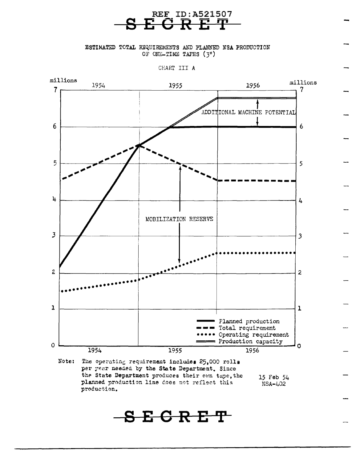

ESTIMATED TOTAL REQUIREMENTS AND PLANNED NSA PRODUCTION OF ONE-TIME TAPES  $(3<sup>n</sup>)$ 

CHART III *A* 



Note: The operating requirement includes 25,000 rolls per year needed by the State Department. Since the State Department produces their own tape, the planned production line does not reflect this production. 15 Feb 54 NSA-402

**SEGRET**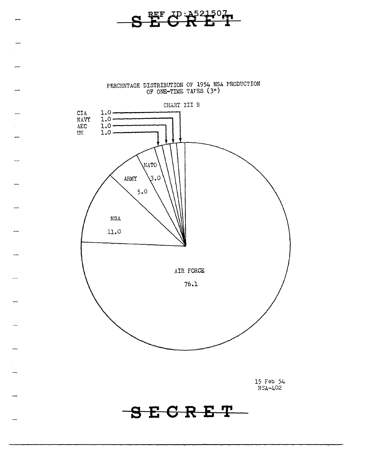

PERCENTAGE DISTRIBUTION OF 1954 NSA PRODUCTION OF ONE-TIME TAPES (311 )

 $\overline{\phantom{0}}$ 

 $\overline{\phantom{0}}$ 



15 Feb 54 NSA-402

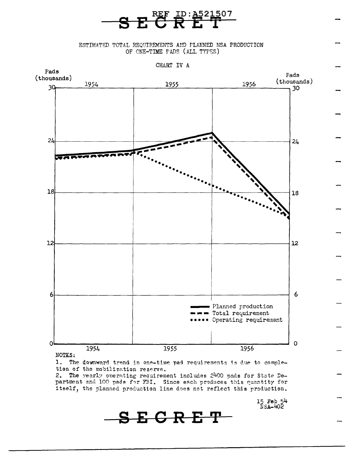ESTIMATED TOTAL REQUIREMENTS AND FLANNED NSA PRODUCTION OF ONE-TIME PADS (ALL TYPES)

**SECRET** 



NOTES:

1. The downward trend in one-time pad requirements is due to completion of the mobilization reserve.

2. The yearly onerating requirement includes 2400 pads for State Department and 100 pads for FBI. Since each produces this quantity for itself, the planned production line does not reflect this production.

15 Feb 54<br>NSA-402

SECRET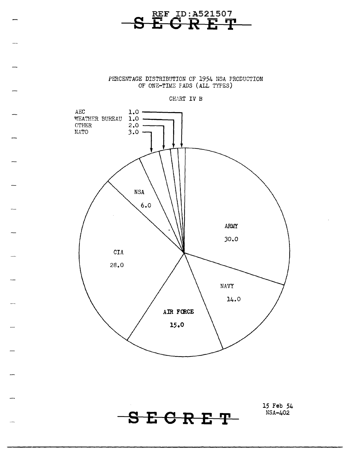

PERCENTAGE DISTRIBUTION OF 1954 NSA PRODUCTION OF ONE-TIME FADS (ALL TYPES)





**SEORET** 

**15 Feb 54**  NSA-402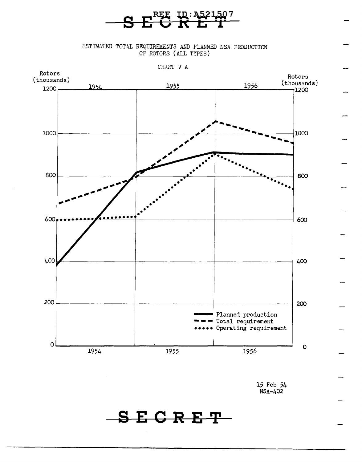

ESTIMATED TOTAL REQUIREMENTS AND PLANNED NSA PRODUCTION OF ROTORS (ALL TYPES)



CHART V A

15 Feb 54 NSA-402

**SECRET**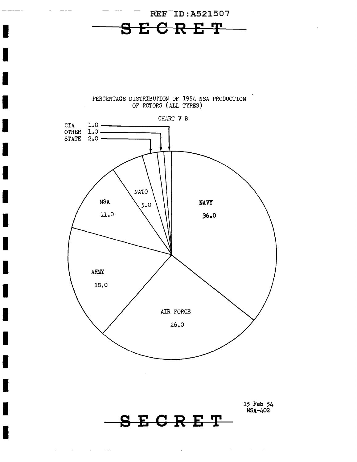

I

I

I

I

I

I

I

I

I

I

I

I

I

I

I

I

I

 $\omega_{\rm{max}}$  and  $\omega_{\rm{max}}$  are  $\omega_{\rm{max}}$ 

 $\sim$   $\sim$   $\sim$   $\sim$ 





15 Feb 54 NSA-402

 $\mathcal{A}^{\mathcal{A}}$  and  $\mathcal{A}^{\mathcal{A}}$  and  $\mathcal{A}^{\mathcal{A}}$ 

**SECRE'r** 

 $\bar{z}$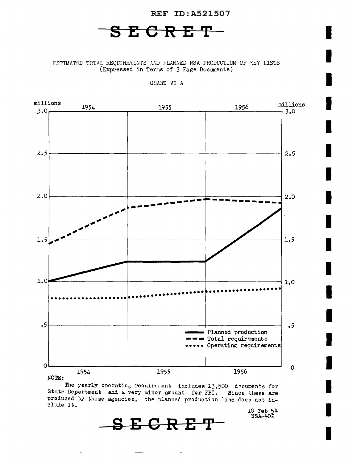## **SECRET**

REF ID: A521507  $-$ 

I

I

I

I

I

I

I

I

I

I

I

I

I

I

I

I

I

ESTIMATED TOTAL REQUIRLIAENTS AND FLANNED NSA PRODUCTION OF KEY LISTS (Expressed in Terms of 3 Page Documents)

CHART VI *A* 



The yearly operating requirement includes 13,500 decuments for State Department and a very minor amount for FBI. Since these are produced by these agencies, the planned production line does not include it. 10 Feb 54 US.A.-4o2

**SECRET**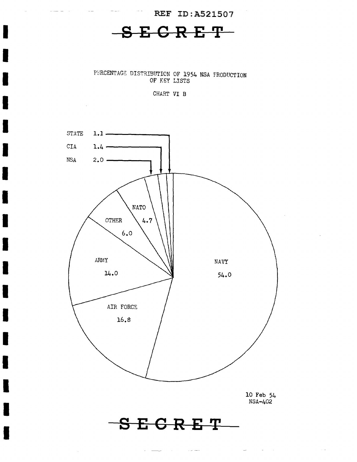## **SECRET**

REF ID:A521507

I

I

I

I

I

I

I

I

I

I

I

I

I

I

I

I

I

I

 $\bar{\tau}_\mathrm{e}$ 

PERCENTAGE DISTRIBUTION OF 1954 NSA FRODUCTION OF KEY LISTS

CHART VI B



 $\alpha \neq 0$ 

 $\sim$   $\sim$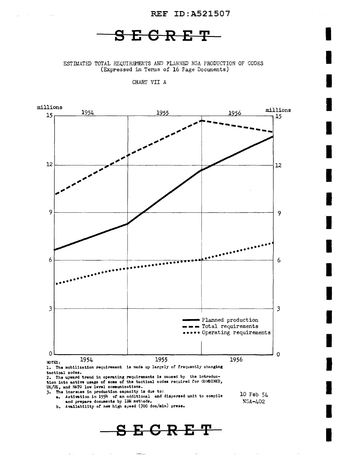### $S E G R E T -$

ESTIMATED TOTAL REQUIREMENTS AND PLANNED NSA PRODUCTION OF CODES (Expressed in Terms of 16 Page Documents)

CHART VII A

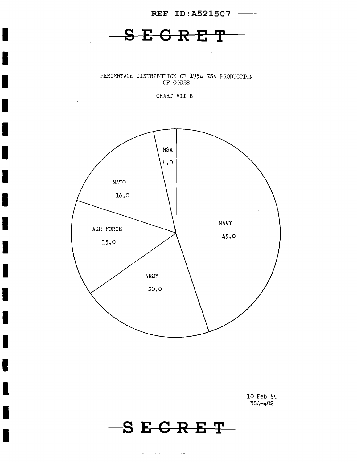

I

I

I

I

I

I

I

I

I

I

I

I

I

I

I

I

I

I

 $\sim$  $\sim$ 

10 Feb 54 NSA-402

 $\sim$ 

**S E G R E 'I'** 

والمستور والمستعار والمتوارد والمتوارد والمتوارد والمتوارد والمتوارد والمتوارد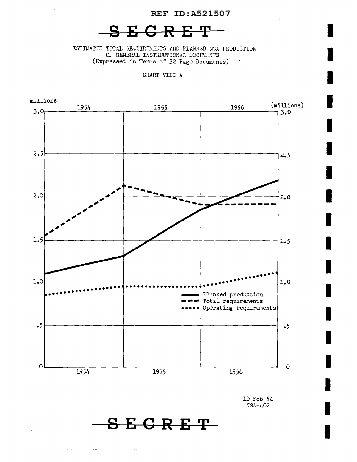I

I

I

I

I

I

I

I

I

I

I

I

I

I

I

I

I

I

**SECRET** 

ESTIMATED TOTAL REQUIREMENTS AND PLANNED NSA FRODUCTION OF GENERAL INSTRUCTIONAL DOCUMENTS (Expressed in Terms of 32 Fage Documents)

CHART VIII A



10 Feb 54 NSA-402

**S E G R E 'I'**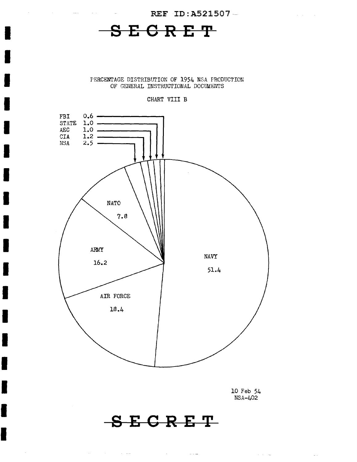**Service** State

**SECRET** 

 $\sim 10^{-1}$ 

 $\mathcal{L}_{\text{max}} = 0$ 

I

I

I

I

I

I

I

I

I

I

I

I

I

I

I

I

I

I

PERCENTAGE DISTRIBUTION OF 1954 NSA PRODUCTION OF GENERAL INSTRUCTIONAL DOCUMENTS

#### CHART VIII B



10 Feb 54 NSA-402

 $\mathcal{O}(10^{11}~\rm{M}_{\odot})$  and  $\mathcal{O}(10^{11}~\rm{M}_{\odot})$ 

 $\omega_{\rm{eff}}$ 

## **SEGRET**

 $\alpha$  and  $\alpha$  is the contribution of the contribution of the contribution of  $\alpha$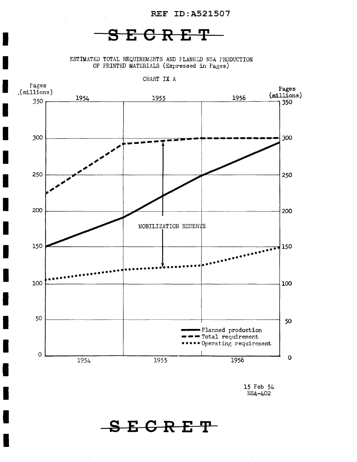## **SE6RET**

I

I

I

I

ESTIMATED TOTAL REQUIREMENTS AND PLANNED NSA PRODUCTION OF PRINTED MATERIALS (Expressed in Pages)



15 Feb 54 NSA-402

**SEGRET**